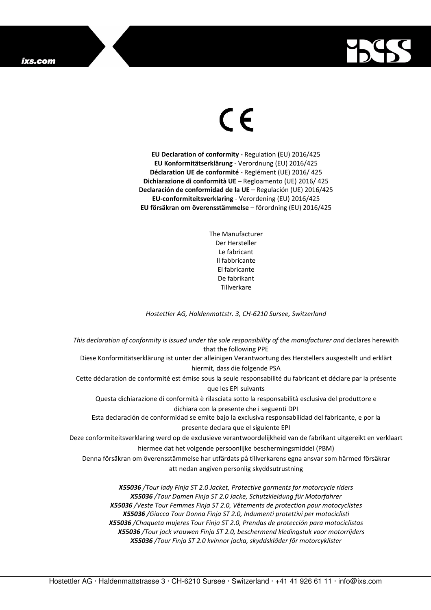## ixs.com



## $\epsilon$

**EU Declaration of conformity -** Regulation **(**EU) 2016/425 **EU Konformitätserklärung** - Verordnung (EU) 2016/425 **Déclaration UE de conformité** - Reglément (UE) 2016/ 425 **Dichiarazione di conformità UE** – Regloamento (UE) 2016/ 425 **Declaración de conformidad de la UE** – Regulación (UE) 2016/425 **EU-conformiteitsverklaring** - Verordening (EU) 2016/425 **EU försäkran om överensstämmelse** – förordning (EU) 2016/425

> The Manufacturer Der Hersteller Le fabricant Il fabbricante El fabricante De fabrikant **Tillverkare**

*Hostettler AG, Haldenmattstr. 3, CH-6210 Sursee, Switzerland* 

*This declaration of conformity is issued under the sole responsibility of the manufacturer and* declares herewith that the following PPE Diese Konformitätserklärung ist unter der alleinigen Verantwortung des Herstellers ausgestellt und erklärt hiermit, dass die folgende PSA Cette déclaration de conformité est émise sous la seule responsabilité du fabricant et déclare par la présente que les EPI suivants Questa dichiarazione di conformità è rilasciata sotto la responsabilità esclusiva del produttore e dichiara con la presente che i seguenti DPI Esta declaración de conformidad se emite bajo la exclusiva responsabilidad del fabricante, e por la presente declara que el siguiente EPI Deze conformiteitsverklaring werd op de exclusieve verantwoordelijkheid van de fabrikant uitgereikt en verklaart hiermee dat het volgende persoonlijke beschermingsmiddel (PBM) Denna försäkran om överensstämmelse har utfärdats på tillverkarens egna ansvar som härmed försäkrar att nedan angiven personlig skyddsutrustning *X55036 /Tour lady Finja ST 2.0 Jacket, Protective garments for motorcycle riders X55036 /Tour Damen Finja ST 2.0 Jacke, Schutzkleidung für Motorfahrer* 

*X55036 /Veste Tour Femmes Finja ST 2.0, Vêtements de protection pour motocyclistes X55036 /Giacca Tour Donna Finja ST 2.0, Indumenti protettivi per motociclisti X55036 /Chaqueta mujeres Tour Finja ST 2.0, Prendas de protección para motociclistas X55036 /Tour jack vrouwen Finja ST 2.0, beschermend kledingstuk voor motorrijders X55036 /Tour Finja ST 2.0 kvinnor jacka, skyddskläder för motorcyklister*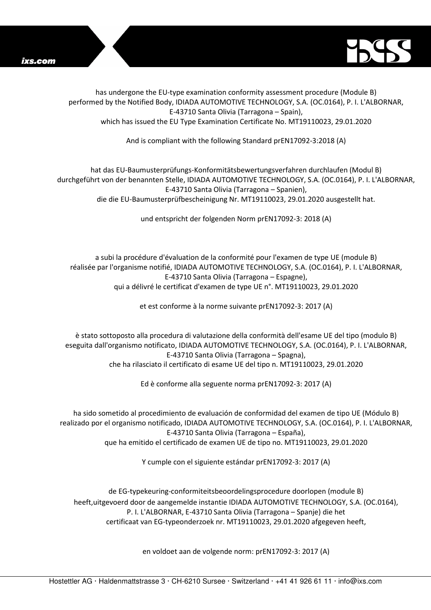



has undergone the EU-type examination conformity assessment procedure (Module B) performed by the Notified Body, IDIADA AUTOMOTIVE TECHNOLOGY, S.A. (OC.0164), P. I. L'ALBORNAR, E-43710 Santa Olivia (Tarragona – Spain), which has issued the EU Type Examination Certificate No. MT19110023, 29.01.2020

And is compliant with the following Standard prEN17092-3:2018 (A)

hat das EU-Baumusterprüfungs-Konformitätsbewertungsverfahren durchlaufen (Modul B) durchgeführt von der benannten Stelle, IDIADA AUTOMOTIVE TECHNOLOGY, S.A. (OC.0164), P. I. L'ALBORNAR, E-43710 Santa Olivia (Tarragona – Spanien), die die EU-Baumusterprüfbescheinigung Nr. MT19110023, 29.01.2020 ausgestellt hat.

und entspricht der folgenden Norm prEN17092-3: 2018 (A)

a subi la procédure d'évaluation de la conformité pour l'examen de type UE (module B) réalisée par l'organisme notifié, IDIADA AUTOMOTIVE TECHNOLOGY, S.A. (OC.0164), P. I. L'ALBORNAR, E-43710 Santa Olivia (Tarragona – Espagne), qui a délivré le certificat d'examen de type UE n°. MT19110023, 29.01.2020

et est conforme à la norme suivante prEN17092-3: 2017 (A)

è stato sottoposto alla procedura di valutazione della conformità dell'esame UE del tipo (modulo B) eseguita dall'organismo notificato, IDIADA AUTOMOTIVE TECHNOLOGY, S.A. (OC.0164), P. I. L'ALBORNAR, E-43710 Santa Olivia (Tarragona – Spagna), che ha rilasciato il certificato di esame UE del tipo n. MT19110023, 29.01.2020

Ed è conforme alla seguente norma prEN17092-3: 2017 (A)

ha sido sometido al procedimiento de evaluación de conformidad del examen de tipo UE (Módulo B) realizado por el organismo notificado, IDIADA AUTOMOTIVE TECHNOLOGY, S.A. (OC.0164), P. I. L'ALBORNAR, E-43710 Santa Olivia (Tarragona – España), que ha emitido el certificado de examen UE de tipo no. MT19110023, 29.01.2020

Y cumple con el siguiente estándar prEN17092-3: 2017 (A)

de EG-typekeuring-conformiteitsbeoordelingsprocedure doorlopen (module B) heeft,uitgevoerd door de aangemelde instantie IDIADA AUTOMOTIVE TECHNOLOGY, S.A. (OC.0164), P. I. L'ALBORNAR, E-43710 Santa Olivia (Tarragona – Spanje) die het certificaat van EG-typeonderzoek nr. MT19110023, 29.01.2020 afgegeven heeft,

en voldoet aan de volgende norm: prEN17092-3: 2017 (A)